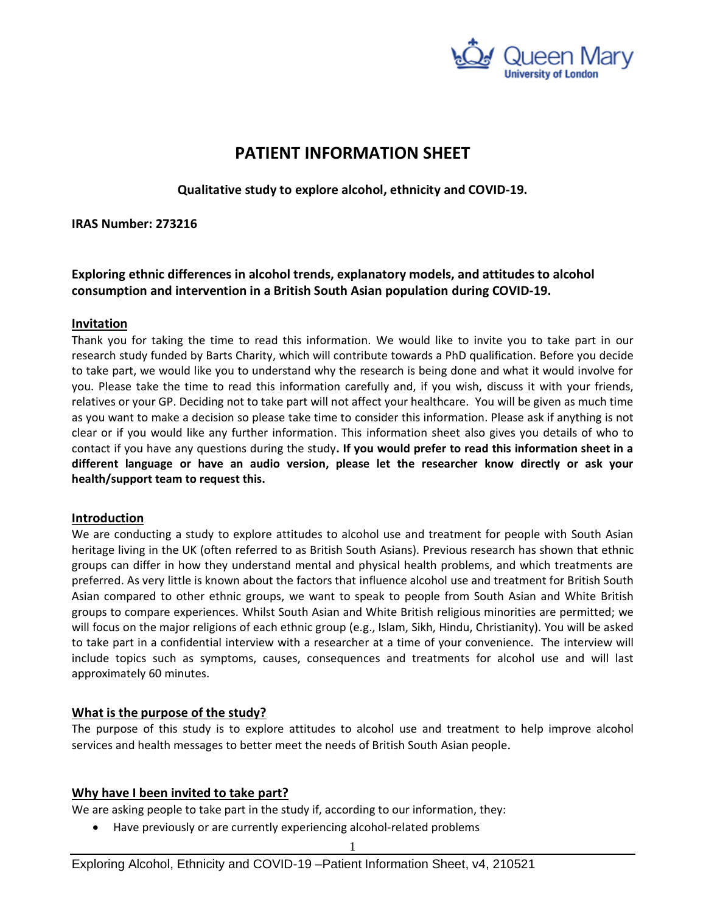

# **PATIENT INFORMATION SHEET**

**Qualitative study to explore alcohol, ethnicity and COVID-19.**

# **IRAS Number: 273216**

**Exploring ethnic differences in alcohol trends, explanatory models, and attitudes to alcohol consumption and intervention in a British South Asian population during COVID-19.**

# **Invitation**

Thank you for taking the time to read this information. We would like to invite you to take part in our research study funded by Barts Charity, which will contribute towards a PhD qualification. Before you decide to take part, we would like you to understand why the research is being done and what it would involve for you. Please take the time to read this information carefully and, if you wish, discuss it with your friends, relatives or your GP. Deciding not to take part will not affect your healthcare. You will be given as much time as you want to make a decision so please take time to consider this information. Please ask if anything is not clear or if you would like any further information. This information sheet also gives you details of who to contact if you have any questions during the study**. If you would prefer to read this information sheet in a different language or have an audio version, please let the researcher know directly or ask your health/support team to request this.** 

# **Introduction**

We are conducting a study to explore attitudes to alcohol use and treatment for people with South Asian heritage living in the UK (often referred to as British South Asians). Previous research has shown that ethnic groups can differ in how they understand mental and physical health problems, and which treatments are preferred. As very little is known about the factors that influence alcohol use and treatment for British South Asian compared to other ethnic groups, we want to speak to people from South Asian and White British groups to compare experiences. Whilst South Asian and White British religious minorities are permitted; we will focus on the major religions of each ethnic group (e.g., Islam, Sikh, Hindu, Christianity). You will be asked to take part in a confidential interview with a researcher at a time of your convenience. The interview will include topics such as symptoms, causes, consequences and treatments for alcohol use and will last approximately 60 minutes.

# **What is the purpose of the study?**

The purpose of this study is to explore attitudes to alcohol use and treatment to help improve alcohol services and health messages to better meet the needs of British South Asian people.

# **Why have I been invited to take part?**

We are asking people to take part in the study if, according to our information, they:

• Have previously or are currently experiencing alcohol-related problems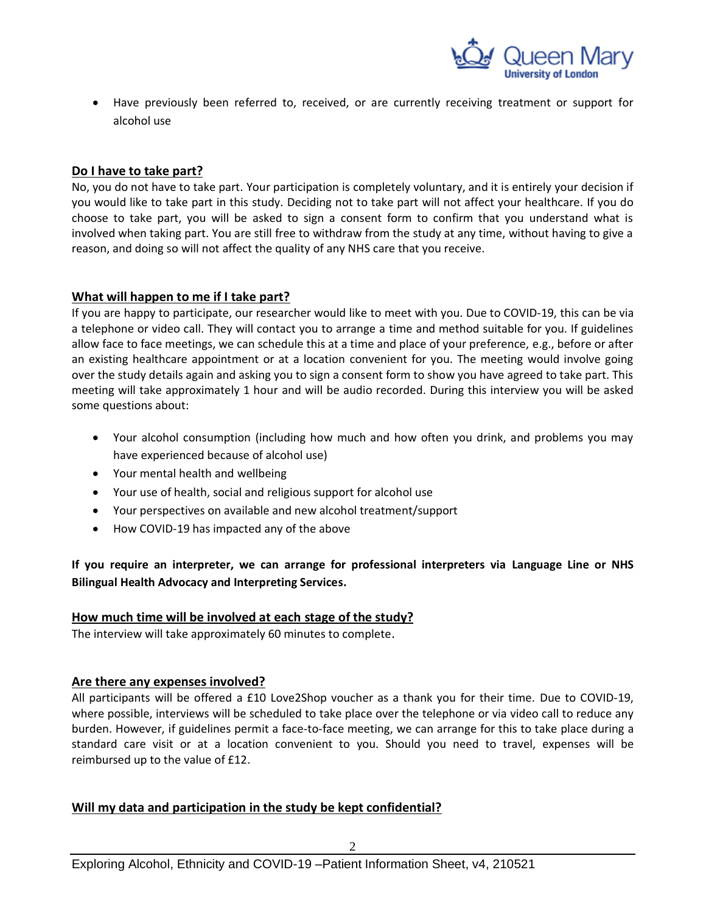

• Have previously been referred to, received, or are currently receiving treatment or support for alcohol use

# **Do I have to take part?**

No, you do not have to take part. Your participation is completely voluntary, and it is entirely your decision if you would like to take part in this study. Deciding not to take part will not affect your healthcare. If you do choose to take part, you will be asked to sign a consent form to confirm that you understand what is involved when taking part. You are still free to withdraw from the study at any time, without having to give a reason, and doing so will not affect the quality of any NHS care that you receive.

# **What will happen to me if I take part?**

If you are happy to participate, our researcher would like to meet with you. Due to COVID-19, this can be via a telephone or video call. They will contact you to arrange a time and method suitable for you. If guidelines allow face to face meetings, we can schedule this at a time and place of your preference, e.g., before or after an existing healthcare appointment or at a location convenient for you. The meeting would involve going over the study details again and asking you to sign a consent form to show you have agreed to take part. This meeting will take approximately 1 hour and will be audio recorded. During this interview you will be asked some questions about:

- Your alcohol consumption (including how much and how often you drink, and problems you may have experienced because of alcohol use)
- Your mental health and wellbeing
- Your use of health, social and religious support for alcohol use
- Your perspectives on available and new alcohol treatment/support
- How COVID-19 has impacted any of the above

**If you require an interpreter, we can arrange for professional interpreters via Language Line or NHS Bilingual Health Advocacy and Interpreting Services.**

# **How much time will be involved at each stage of the study?**

The interview will take approximately 60 minutes to complete.

#### **Are there any expenses involved?**

All participants will be offered a £10 Love2Shop voucher as a thank you for their time. Due to COVID-19, where possible, interviews will be scheduled to take place over the telephone or via video call to reduce any burden. However, if guidelines permit a face-to-face meeting, we can arrange for this to take place during a standard care visit or at a location convenient to you. Should you need to travel, expenses will be reimbursed up to the value of £12.

# **Will my data and participation in the study be kept confidential?**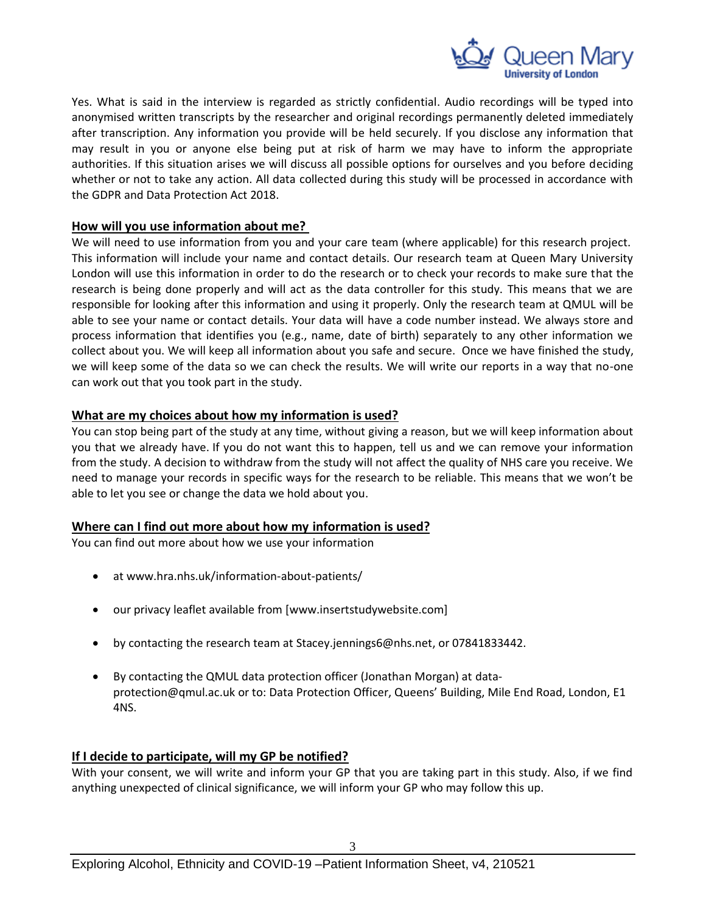

Yes. What is said in the interview is regarded as strictly confidential. Audio recordings will be typed into anonymised written transcripts by the researcher and original recordings permanently deleted immediately after transcription. Any information you provide will be held securely. If you disclose any information that may result in you or anyone else being put at risk of harm we may have to inform the appropriate authorities. If this situation arises we will discuss all possible options for ourselves and you before deciding whether or not to take any action. All data collected during this study will be processed in accordance with the GDPR and Data Protection Act 2018.

# **How will you use information about me?**

We will need to use information from you and your care team (where applicable) for this research project. This information will include your name and contact details. Our research team at Queen Mary University London will use this information in order to do the research or to check your records to make sure that the research is being done properly and will act as the data controller for this study. This means that we are responsible for looking after this information and using it properly. Only the research team at QMUL will be able to see your name or contact details. Your data will have a code number instead. We always store and process information that identifies you (e.g., name, date of birth) separately to any other information we collect about you. We will keep all information about you safe and secure. Once we have finished the study, we will keep some of the data so we can check the results. We will write our reports in a way that no-one can work out that you took part in the study.

# **What are my choices about how my information is used?**

You can stop being part of the study at any time, without giving a reason, but we will keep information about you that we already have. If you do not want this to happen, tell us and we can remove your information from the study. A decision to withdraw from the study will not affect the quality of NHS care you receive. We need to manage your records in specific ways for the research to be reliable. This means that we won't be able to let you see or change the data we hold about you.

#### **Where can I find out more about how my information is used?**

You can find out more about how we use your information

- at [www.hra.nhs.uk/information-about-patients/](https://www.hra.nhs.uk/information-about-patients/)
- our privacy leaflet available from [www.insertstudywebsite.com]
- by contacting the research team at Stacey.jennings6@nhs.net, or 07841833442.
- By contacting the QMUL data protection officer (Jonathan Morgan) at [data](mailto:data-protection@qmul.ac.uk)[protection@qmul.ac.uk](mailto:data-protection@qmul.ac.uk) or to: Data Protection Officer, Queens' Building, Mile End Road, London, E1 4NS.

#### **If I decide to participate, will my GP be notified?**

With your consent, we will write and inform your GP that you are taking part in this study. Also, if we find anything unexpected of clinical significance, we will inform your GP who may follow this up.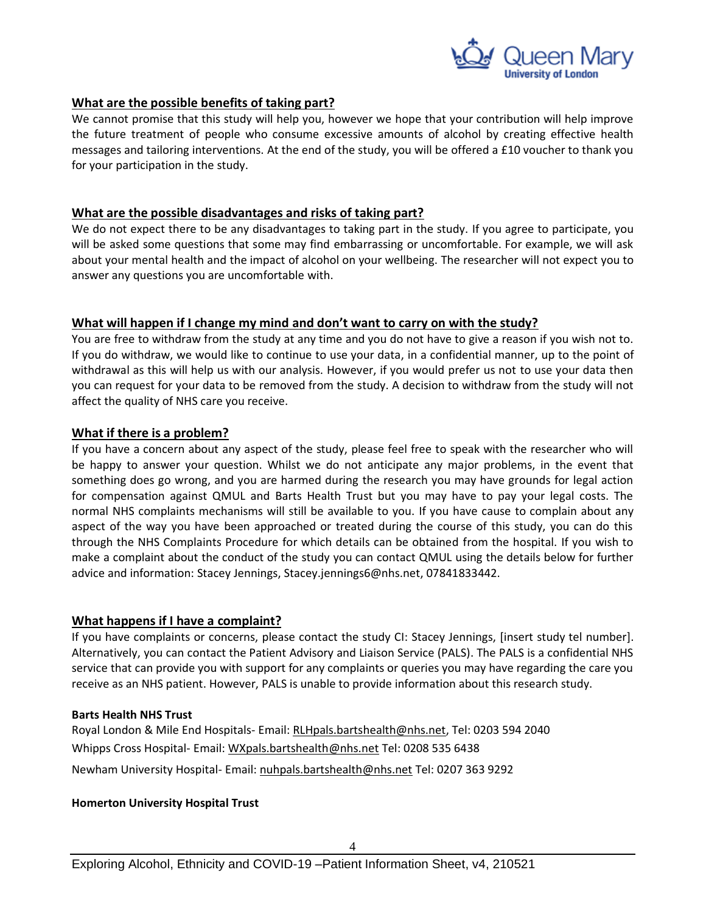

# **What are the possible benefits of taking part?**

We cannot promise that this study will help you, however we hope that your contribution will help improve the future treatment of people who consume excessive amounts of alcohol by creating effective health messages and tailoring interventions. At the end of the study, you will be offered a £10 voucher to thank you for your participation in the study.

# **What are the possible disadvantages and risks of taking part?**

We do not expect there to be any disadvantages to taking part in the study. If you agree to participate, you will be asked some questions that some may find embarrassing or uncomfortable. For example, we will ask about your mental health and the impact of alcohol on your wellbeing. The researcher will not expect you to answer any questions you are uncomfortable with.

# **What will happen if I change my mind and don't want to carry on with the study?**

You are free to withdraw from the study at any time and you do not have to give a reason if you wish not to. If you do withdraw, we would like to continue to use your data, in a confidential manner, up to the point of withdrawal as this will help us with our analysis. However, if you would prefer us not to use your data then you can request for your data to be removed from the study. A decision to withdraw from the study will not affect the quality of NHS care you receive.

# **What if there is a problem?**

If you have a concern about any aspect of the study, please feel free to speak with the researcher who will be happy to answer your question. Whilst we do not anticipate any major problems, in the event that something does go wrong, and you are harmed during the research you may have grounds for legal action for compensation against QMUL and Barts Health Trust but you may have to pay your legal costs. The normal NHS complaints mechanisms will still be available to you. If you have cause to complain about any aspect of the way you have been approached or treated during the course of this study, you can do this through the NHS Complaints Procedure for which details can be obtained from the hospital. If you wish to make a complaint about the conduct of the study you can contact QMUL using the details below for further advice and information: Stacey Jennings, Stacey.jennings6@nhs.net, 07841833442.

#### **What happens if I have a complaint?**

If you have complaints or concerns, please contact the study CI: Stacey Jennings, [insert study tel number]. Alternatively, you can contact the Patient Advisory and Liaison Service (PALS). The PALS is a confidential NHS service that can provide you with support for any complaints or queries you may have regarding the care you receive as an NHS patient. However, PALS is unable to provide information about this research study.

#### **Barts Health NHS Trust**

Royal London & Mile End Hospitals- Email: [RLHpals.bartshealth@nhs.net,](mailto:RLHpals@bartshealth.nhs.uk) Tel: 0203 594 2040 Whipps Cross Hospital- Email: [WXpals.bartshealth@nhs.net](mailto:WXpals@bartshealth.nhs.uk) Tel: 0208 535 6438 Newham University Hospital- Email: [nuhpals.bartshealth@nhs.net](mailto:nuhpals.bartshealth@nhs.net) Tel: 0207 363 9292

#### **Homerton University Hospital Trust**